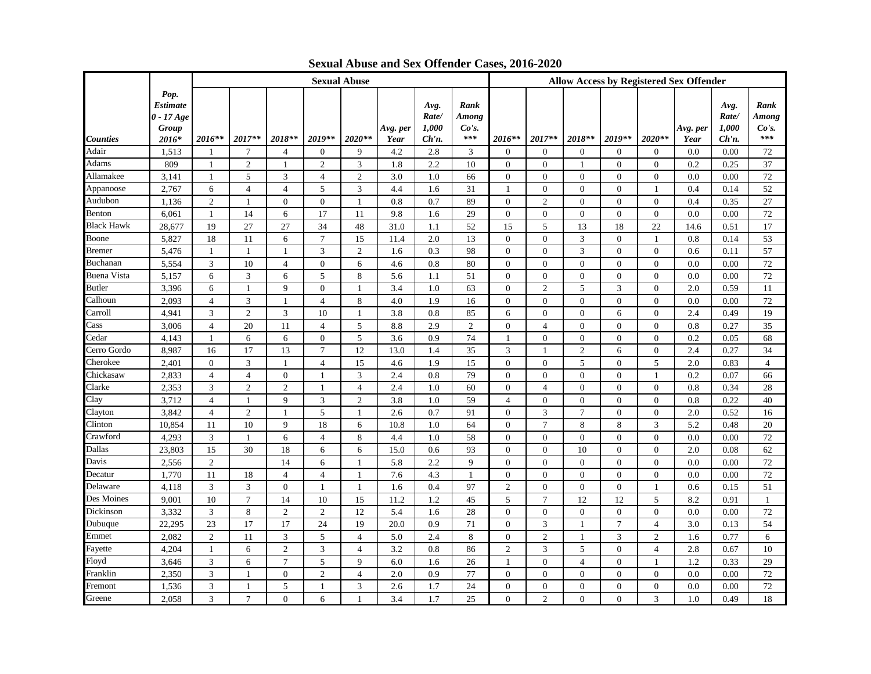|                    |                                                    |                |                 |                |                | <b>Sexual Abuse</b> |                  |                                    |                               | <b>Allow Access by Registered Sex Offender</b> |                |                |                |                |                  |                                    |                               |
|--------------------|----------------------------------------------------|----------------|-----------------|----------------|----------------|---------------------|------------------|------------------------------------|-------------------------------|------------------------------------------------|----------------|----------------|----------------|----------------|------------------|------------------------------------|-------------------------------|
| <b>Counties</b>    | Pop.<br>Estimate<br>$0 - 17$ Age<br>Group<br>2016* | 2016**         | $2017**$        | 2018**         | 2019**         | 2020**              | Avg. per<br>Year | Avg.<br>Rate/<br>1,000<br>$Ch'n$ . | Rank<br>Among<br>Co's.<br>*** | 2016**                                         | 2017**         | 2018**         | 2019**         | $2020**$       | Avg. per<br>Year | Avg.<br>Rate/<br>1,000<br>$Ch'n$ . | Rank<br>Among<br>Co's.<br>*** |
| Adair              | 1,513                                              | -1             | 7               | $\overline{4}$ | $\overline{0}$ | 9                   | 4.2              | 2.8                                | 3                             | $\mathbf{0}$                                   | $\theta$       | $\mathbf{0}$   | $\mathbf{0}$   | $\overline{0}$ | 0.0              | 0.00                               | 72                            |
| Adams              | 809                                                | 1              | $\overline{c}$  | -1             | 2              | 3                   | 1.8              | 2.2                                | 10                            | $\mathbf{0}$                                   | $\overline{0}$ | 1              | $\overline{0}$ | $\theta$       | 0.2              | 0.25                               | 37                            |
| Allamakee          | 3,141                                              | $\mathbf{1}$   | 5               | 3              | $\overline{4}$ | 2                   | 3.0              | 1.0                                | 66                            | $\mathbf{0}$                                   | $\overline{0}$ | $\mathbf{0}$   | $\overline{0}$ | $\theta$       | 0.0              | 0.00                               | 72                            |
| Appanoose          | 2,767                                              | 6              | $\overline{4}$  | $\overline{4}$ | 5              | 3                   | 4.4              | 1.6                                | 31                            | $\mathbf{1}$                                   | $\mathbf{0}$   | $\Omega$       | $\Omega$       | 1              | 0.4              | 0.14                               | 52                            |
| Audubon            | 1,136                                              | $\overline{2}$ | -1              | $\mathbf{0}$   | $\overline{0}$ | -1                  | 0.8              | 0.7                                | 89                            | $\mathbf{0}$                                   | $\overline{2}$ | $\mathbf{0}$   | $\overline{0}$ | $\theta$       | 0.4              | 0.35                               | 27                            |
| Benton             | 6,061                                              | -1             | 14              | 6              | 17             | 11                  | 9.8              | 1.6                                | 29                            | $\overline{0}$                                 | $\mathbf{0}$   | $\mathbf{0}$   | $\overline{0}$ | $\theta$       | 0.0              | 0.00                               | 72                            |
| <b>Black Hawk</b>  | 28,677                                             | 19             | 27              | 27             | 34             | 48                  | 31.0             | 1.1                                | 52                            | 15                                             | 5              | 13             | 18             | 22             | 14.6             | 0.51                               | 17                            |
| Boone              | 5,827                                              | 18             | 11              | 6              | $\tau$         | 15                  | 11.4             | 2.0                                | 13                            | $\mathbf{0}$                                   | $\overline{0}$ | 3              | $\Omega$       | 1              | 0.8              | 0.14                               | 53                            |
| <b>Bremer</b>      | 5,476                                              | -1             | -1              | -1             | 3              | 2                   | 1.6              | 0.3                                | 98                            | $\mathbf{0}$                                   | $\mathbf{0}$   | 3              | $\mathbf{0}$   | $\theta$       | 0.6              | 0.11                               | 57                            |
| Buchanan           | 5,554                                              | 3              | 10              | $\overline{4}$ | $\overline{0}$ | 6                   | 4.6              | 0.8                                | 80                            | $\mathbf{0}$                                   | $\mathbf{0}$   | $\mathbf{0}$   | $\overline{0}$ | $\theta$       | 0.0              | 0.00                               | 72                            |
| <b>Buena Vista</b> | 5,157                                              | 6              | 3               | 6              | 5              | 8                   | 5.6              | 1.1                                | 51                            | $\Omega$                                       | $\overline{0}$ | $\mathbf{0}$   | $\overline{0}$ | $\mathbf{0}$   | 0.0              | 0.00                               | 72                            |
| <b>Butler</b>      | 3,396                                              | 6              | $\mathbf{1}$    | 9              | $\mathbf{0}$   | -1                  | 3.4              | 1.0                                | 63                            | $\mathbf{0}$                                   | $\overline{c}$ | 5              | 3              | $\mathbf{0}$   | 2.0              | 0.59                               | 11                            |
| Calhoun            | 2,093                                              | $\overline{4}$ | 3               | -1             | $\overline{4}$ | 8                   | 4.0              | 1.9                                | 16                            | $\mathbf{0}$                                   | $\mathbf{0}$   | $\mathbf{0}$   | $\overline{0}$ | $\theta$       | 0.0              | 0.00                               | 72                            |
| Carroll            | 4,941                                              | 3              | $\overline{2}$  | 3              | 10             | $\mathbf{1}$        | 3.8              | 0.8                                | 85                            | 6                                              | $\overline{0}$ | $\mathbf{0}$   | 6              | $\theta$       | 2.4              | 0.49                               | 19                            |
| Cass               | 3,006                                              | $\overline{4}$ | 20              | 11             | $\overline{4}$ | 5                   | 8.8              | 2.9                                | 2                             | $\mathbf{0}$                                   | $\overline{4}$ | $\mathbf{0}$   | $\overline{0}$ | $\mathbf{0}$   | 0.8              | 0.27                               | 35                            |
| Cedar              | 4,143                                              | $\mathbf{1}$   | 6               | 6              | $\mathbf{0}$   | 5                   | 3.6              | 0.9                                | 74                            | -1                                             | $\overline{0}$ | $\overline{0}$ | $\mathbf{0}$   | $\theta$       | 0.2              | 0.05                               | 68                            |
| Cerro Gordo        | 8,987                                              | 16             | 17              | 13             | $\tau$         | 12                  | 13.0             | 1.4                                | 35                            | 3                                              | 1              | $\overline{2}$ | 6              | $\Omega$       | 2.4              | 0.27                               | 34                            |
| Cherokee           | 2.401                                              | $\theta$       | 3               | $\overline{1}$ | $\overline{4}$ | 15                  | 4.6              | 1.9                                | 15                            | $\Omega$                                       | $\theta$       | 5              | $\Omega$       | 5              | 2.0              | 0.83                               | $\overline{4}$                |
| Chickasaw          | 2,833                                              | $\overline{4}$ | $\overline{4}$  | $\mathbf{0}$   | $\overline{1}$ | 3                   | 2.4              | 0.8                                | 79                            | $\boldsymbol{0}$                               | $\Omega$       | $\Omega$       | $\Omega$       | 1              | 0.2              | 0.07                               | 66                            |
| Clarke             | 2,353                                              | 3              | $\overline{2}$  | $\overline{c}$ | $\overline{1}$ | $\overline{4}$      | 2.4              | 1.0                                | 60                            | $\mathbf{0}$                                   | $\overline{4}$ | $\overline{0}$ | $\mathbf{0}$   | $\mathbf{0}$   | 0.8              | 0.34                               | 28                            |
| Clay               | 3,712                                              | $\overline{4}$ | -1              | 9              | 3              | 2                   | 3.8              | 1.0                                | 59                            | $\overline{4}$                                 | $\mathbf{0}$   | $\Omega$       | $\overline{0}$ | $\Omega$       | 0.8              | 0.22                               | 40                            |
| Clayton            | 3,842                                              | $\overline{4}$ | $\overline{2}$  | $\overline{1}$ | 5              | $\mathbf{1}$        | 2.6              | 0.7                                | 91                            | $\mathbf{0}$                                   | 3              | $\overline{7}$ | $\overline{0}$ | $\theta$       | 2.0              | 0.52                               | 16                            |
| Clinton            | 10,854                                             | 11             | 10              | 9              | 18             | 6                   | 10.8             | 1.0                                | 64                            | $\mathbf{0}$                                   | $\tau$         | 8              | 8              | 3              | 5.2              | 0.48                               | 20                            |
| Crawford           | 4,293                                              | 3              | $\mathbf{1}$    | 6              | $\overline{4}$ | 8                   | 4.4              | 1.0                                | 58                            | $\mathbf{0}$                                   | $\overline{0}$ | $\Omega$       | $\Omega$       | $\theta$       | 0.0              | 0.00                               | 72                            |
| Dallas             | 23,803                                             | 15             | 30              | 18             | 6              | 6                   | 15.0             | 0.6                                | 93                            | $\Omega$                                       | $\overline{0}$ | 10             | $\Omega$       | $\Omega$       | 2.0              | 0.08                               | 62                            |
| Davis              | 2,556                                              | $\overline{2}$ |                 | 14             | 6              |                     | 5.8              | 2.2                                | 9                             | $\mathbf{0}$                                   | $\overline{0}$ | $\Omega$       | $\Omega$       | $\Omega$       | 0.0              | 0.00                               | 72                            |
| Decatur            | 1,770                                              | 11             | 18              | $\overline{4}$ | $\overline{4}$ | -1                  | 7.6              | 4.3                                | -1                            | $\boldsymbol{0}$                               | $\overline{0}$ | $\mathbf{0}$   | $\overline{0}$ | $\theta$       | 0.0              | 0.00                               | 72                            |
| Delaware           | 4,118                                              | 3              | 3               | $\theta$       | -1             | -1                  | 1.6              | 0.4                                | 97                            | $\mathfrak{2}$                                 | $\overline{0}$ | $\Omega$       | $\Omega$       |                | 0.6              | 0.15                               | 51                            |
| Des Moines         | 9,001                                              | 10             | $7\phantom{.0}$ | 14             | 10             | 15                  | 11.2             | 1.2                                | 45                            | 5                                              | $\overline{7}$ | 12             | 12             | 5              | 8.2              | 0.91                               | -1                            |
| Dickinson          | 3,332                                              | 3              | 8               | $\overline{2}$ | 2              | 12                  | 5.4              | 1.6                                | 28                            | $\Omega$                                       | $\Omega$       | $\Omega$       | $\Omega$       | $\Omega$       | 0.0              | 0.00                               | 72                            |
| Dubuque            | 22.295                                             | 23             | 17              | 17             | 24             | 19                  | 20.0             | 0.9                                | 71                            | $\Omega$                                       | 3              | 1              | $\tau$         | $\overline{4}$ | 3.0              | 0.13                               | 54                            |
| Emmet              | 2.082                                              | $\mathfrak{2}$ | 11              | 3              | 5              | $\overline{4}$      | 5.0              | 2.4                                | 8                             | $\Omega$                                       | $\mathfrak{2}$ | 1              | 3              | 2              | 1.6              | 0.77                               | 6                             |
| Fayette            | 4,204                                              | -1             | 6               | $\overline{2}$ | 3              | 4                   | 3.2              | 0.8                                | 86                            | $\overline{2}$                                 | 3              | 5              | $\overline{0}$ | $\overline{4}$ | 2.8              | 0.67                               | 10                            |
| Floyd              | 3,646                                              | 3              | 6               | $\overline{7}$ | 5              | $\mathbf{Q}$        | 6.0              | 1.6                                | 26                            |                                                | $\theta$       | 4              | $\Omega$       |                | 1.2              | 0.33                               | 29                            |
| Franklin           | 2,350                                              | 3              | -1              | $\mathbf{0}$   | $\overline{2}$ | $\overline{4}$      | 2.0              | 0.9                                | 77                            | $\mathbf{0}$                                   | $\overline{0}$ | $\Omega$       | $\overline{0}$ | $\theta$       | 0.0              | 0.00                               | 72                            |
| Fremont            | 1,536                                              | 3              | -1              | 5              | -1             | 3                   | 2.6              | 1.7                                | 24                            | $\Omega$                                       | $\theta$       | $\Omega$       | $\Omega$       | $\Omega$       | 0.0              | 0.00                               | 72                            |
| Greene             | 2.058                                              | 3              | $\tau$          | $\theta$       | 6              | -1                  | 3.4              | 1.7                                | 25                            | $\Omega$                                       | $\mathfrak{D}$ | $\Omega$       | $\Omega$       | 3              | 1.0              | 0.49                               | 18                            |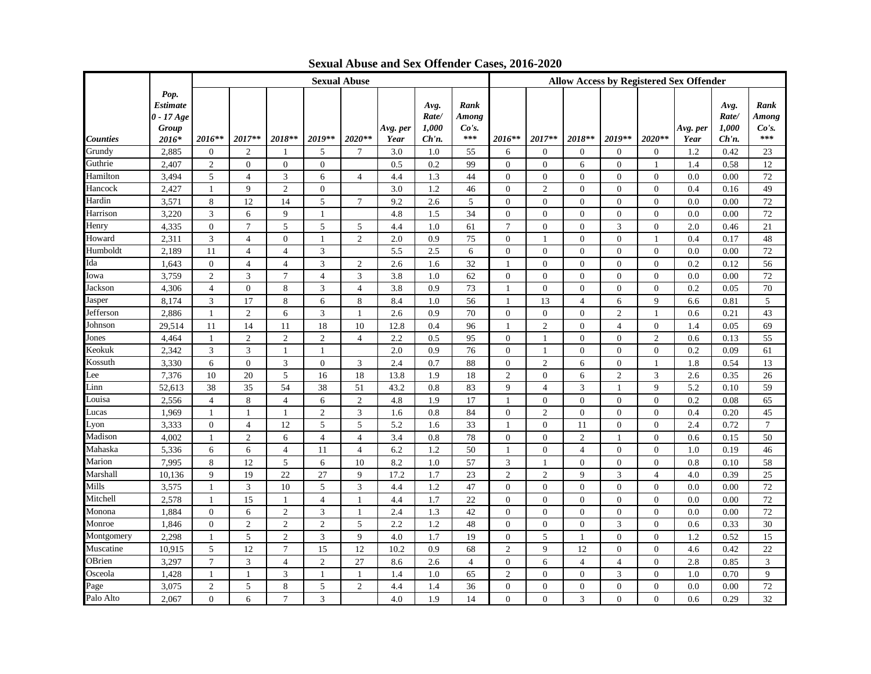|            |                                                           |                |                  |                 |                | <b>Sexual Abuse</b> |                  |                                 |                               | <b>Allow Access by Registered Sex Offender</b> |                |                  |                |                |                  |                                    |                               |
|------------|-----------------------------------------------------------|----------------|------------------|-----------------|----------------|---------------------|------------------|---------------------------------|-------------------------------|------------------------------------------------|----------------|------------------|----------------|----------------|------------------|------------------------------------|-------------------------------|
| Counties   | Pop.<br><b>Estimate</b><br>$0 - 17 Age$<br>Group<br>2016* | 2016**         | 2017**           | 2018**          | 2019**         | 2020**              | Avg. per<br>Year | Avg.<br>Rate/<br>1,000<br>Ch'n. | Rank<br>Among<br>Co's.<br>*** | $2016**$                                       | 2017**         | 2018**           | $2019**$       | $2020**$       | Avg. per<br>Year | Avg.<br>Rate/<br>1,000<br>$Ch'n$ . | Rank<br>Among<br>Co's.<br>*** |
| Grundy     | 2,885                                                     | $\mathbf{0}$   | $\overline{c}$   | -1              | 5              | 7                   | 3.0              | 1.0                             | 55                            | 6                                              | $\mathbf{0}$   | $\theta$         | $\overline{0}$ | $\mathbf{0}$   | 1.2              | 0.42                               | 23                            |
| Guthrie    | 2.407                                                     | $\overline{2}$ | $\mathbf{0}$     | $\mathbf{0}$    | $\overline{0}$ |                     | 0.5              | 0.2                             | 99                            | $\overline{0}$                                 | $\mathbf{0}$   | 6                | $\overline{0}$ | -1             | 1.4              | 0.58                               | 12                            |
| Hamilton   | 3,494                                                     | 5              | $\overline{4}$   | 3               | 6              | $\overline{4}$      | 4.4              | 1.3                             | 44                            | $\overline{0}$                                 | $\mathbf{0}$   | $\mathbf{0}$     | $\mathbf{0}$   | $\mathbf{0}$   | 0.0              | 0.00                               | 72                            |
| Hancock    | 2.427                                                     | $\mathbf{1}$   | 9                | $\overline{2}$  | $\overline{0}$ |                     | 3.0              | 1.2                             | 46                            | $\overline{0}$                                 | $\overline{c}$ | $\mathbf{0}$     | $\Omega$       | $\Omega$       | 0.4              | 0.16                               | 49                            |
| Hardin     | 3,571                                                     | 8              | 12               | 14              | 5              | $\tau$              | 9.2              | 2.6                             | 5                             | $\overline{0}$                                 | $\mathbf{0}$   | $\boldsymbol{0}$ | $\mathbf{0}$   | $\overline{0}$ | 0.0              | 0.00                               | 72                            |
| Harrison   | 3,220                                                     | 3              | 6                | 9               | -1             |                     | 4.8              | 1.5                             | 34                            | $\mathbf{0}$                                   | $\mathbf{0}$   | $\mathbf{0}$     | $\mathbf{0}$   | $\overline{0}$ | 0.0              | 0.00                               | 72                            |
| Henry      | 4,335                                                     | $\overline{0}$ | $\overline{7}$   | 5               | 5              | 5                   | 4.4              | 1.0                             | 61                            | $\overline{7}$                                 | $\overline{0}$ | $\mathbf{0}$     | 3              | $\overline{0}$ | 2.0              | 0.46                               | 21                            |
| Howard     | 2,311                                                     | 3              | $\overline{4}$   | $\mathbf{0}$    | -1             | $\overline{c}$      | 2.0              | 0.9                             | 75                            | $\overline{0}$                                 | 1              | $\mathbf{0}$     | $\Omega$       | 1              | 0.4              | 0.17                               | 48                            |
| Humboldt   | 2,189                                                     | 11             | $\overline{4}$   | $\overline{4}$  | 3              |                     | 5.5              | 2.5                             | 6                             | $\overline{0}$                                 | $\mathbf{0}$   | $\mathbf{0}$     | $\mathbf{0}$   | $\mathbf{0}$   | 0.0              | 0.00                               | 72                            |
| Ida        | 1,643                                                     | $\overline{0}$ | $\overline{4}$   | $\overline{4}$  | 3              | 2                   | 2.6              | 1.6                             | 32                            | $\overline{1}$                                 | $\mathbf{0}$   | $\mathbf{0}$     | $\Omega$       | $\overline{0}$ | 0.2              | 0.12                               | 56                            |
| Iowa       | 3,759                                                     | $\overline{2}$ | 3                | $\overline{7}$  | $\overline{4}$ | 3                   | 3.8              | 1.0                             | 62                            | $\theta$                                       | $\Omega$       | $\mathbf{0}$     | $\mathbf{0}$   | $\overline{0}$ | 0.0              | 0.00                               | 72                            |
| Jackson    | 4,306                                                     | $\overline{4}$ | $\boldsymbol{0}$ | 8               | 3              | $\overline{4}$      | 3.8              | 0.9                             | 73                            | $\mathbf{1}$                                   | $\overline{0}$ | $\mathbf{0}$     | $\overline{0}$ | $\overline{0}$ | 0.2              | 0.05                               | 70                            |
| Jasper     | 8,174                                                     | 3              | 17               | 8               | 6              | 8                   | 8.4              | 1.0                             | 56                            | -1                                             | 13             | $\overline{4}$   | 6              | 9              | 6.6              | 0.81                               | 5                             |
| Jefferson  | 2,886                                                     | -1             | $\mathfrak{2}$   | 6               | 3              | $\mathbf{1}$        | 2.6              | 0.9                             | 70                            | $\overline{0}$                                 | $\mathbf{0}$   | $\mathbf{0}$     | $\overline{2}$ | 1              | 0.6              | 0.21                               | 43                            |
| Johnson    | 29,514                                                    | 11             | 14               | -11             | 18             | 10                  | 12.8             | 0.4                             | 96                            | $\overline{1}$                                 | $\overline{2}$ | $\mathbf{0}$     | $\overline{4}$ | $\overline{0}$ | 1.4              | 0.05                               | 69                            |
| Jones      | 4,464                                                     | $\overline{1}$ | $\mathbf{2}$     | $\overline{2}$  | $\overline{2}$ | $\overline{4}$      | 2.2              | 0.5                             | 95                            | $\overline{0}$                                 | 1              | $\overline{0}$   | $\Omega$       | $\overline{c}$ | 0.6              | 0.13                               | 55                            |
| Keokuk     | 2,342                                                     | 3              | 3                | -1              | -1             |                     | 2.0              | 0.9                             | 76                            | $\overline{0}$                                 | -1             | $\mathbf{0}$     | $\Omega$       | $\Omega$       | 0.2              | 0.09                               | 61                            |
| Kossuth    | 3,330                                                     | 6              | $\Omega$         | 3               | $\theta$       | 3                   | 2.4              | 0.7                             | 88                            | $\mathbf{0}$                                   | $\overline{2}$ | 6                | $\Omega$       | -1             | 1.8              | 0.54                               | 13                            |
| Lee        | 7,376                                                     | 10             | 20               | 5               | 16             | 18                  | 13.8             | 1.9                             | 18                            | 2                                              | $\Omega$       | 6                | $\overline{c}$ | 3              | 2.6              | 0.35                               | 26                            |
| Linn       | 52,613                                                    | 38             | 35               | 54              | 38             | 51                  | 43.2             | 0.8                             | 83                            | 9                                              | $\overline{4}$ | 3                | 1              | 9              | 5.2              | 0.10                               | 59                            |
| Louisa     | 2,556                                                     | 4              | 8                | $\overline{4}$  | 6              | 2                   | 4.8              | 1.9                             | 17                            | -1                                             | $\mathbf{0}$   | $\mathbf{0}$     | $\Omega$       | $\overline{0}$ | 0.2              | 0.08                               | 65                            |
| Lucas      | 1,969                                                     | -1             | $\mathbf{1}$     | -1              | $\overline{2}$ | 3                   | 1.6              | 0.8                             | 84                            | $\overline{0}$                                 | $\overline{2}$ | $\mathbf{0}$     | $\mathbf{0}$   | $\mathbf{0}$   | 0.4              | 0.20                               | 45                            |
| Lyon       | 3,333                                                     | $\overline{0}$ | $\overline{4}$   | 12              | 5              | 5                   | 5.2              | 1.6                             | 33                            | $\overline{1}$                                 | $\mathbf{0}$   | 11               | $\mathbf{0}$   | $\mathbf{0}$   | 2.4              | 0.72                               | $\overline{7}$                |
| Madison    | 4,002                                                     | -1             | $\mathfrak{2}$   | 6               | $\overline{4}$ | $\overline{4}$      | 3.4              | 0.8                             | 78                            | $\overline{0}$                                 | $\overline{0}$ | $\overline{2}$   | $\mathbf{1}$   | $\Omega$       | 0.6              | 0.15                               | 50                            |
| Mahaska    | 5,336                                                     | 6              | 6                | $\overline{4}$  | 11             | $\overline{4}$      | 6.2              | 1.2                             | 50                            | -1                                             | $\Omega$       | $\overline{4}$   | $\Omega$       | $\Omega$       | 1.0              | 0.19                               | 46                            |
| Marion     | 7,995                                                     | 8              | 12               | 5               | 6              | 10                  | 8.2              | 1.0                             | 57                            | 3                                              |                | $\overline{0}$   | $\Omega$       | $\Omega$       | 0.8              | 0.10                               | 58                            |
| Marshall   | 10,136                                                    | 9              | 19               | 22              | 27             | 9                   | 17.2             | 1.7                             | 23                            | 2                                              | $\overline{2}$ | 9                | 3              | $\overline{4}$ | 4.0              | 0.39                               | 25                            |
| Mills      | 3,575                                                     |                | 3                | 10              | 5              | 3                   | 4.4              | 1.2                             | 47                            | $\overline{0}$                                 | $\mathbf{0}$   | $\Omega$         | $\Omega$       | $\Omega$       | 0.0              | 0.00                               | 72                            |
| Mitchell   | 2,578                                                     |                | 15               | -1              | $\overline{4}$ |                     | 4.4              | 1.7                             | 22                            | $\overline{0}$                                 | $\Omega$       | $\mathbf{0}$     | $\Omega$       | $\Omega$       | 0.0              | 0.00                               | 72                            |
| Monona     | 1,884                                                     | $\overline{0}$ | 6                | $\overline{2}$  | 3              | $\mathbf{1}$        | 2.4              | 1.3                             | 42                            | $\overline{0}$                                 | $\Omega$       | $\Omega$         | $\Omega$       | $\Omega$       | 0.0              | 0.00                               | 72                            |
| Monroe     | 1.846                                                     | $\theta$       | $\overline{2}$   | $\overline{2}$  | 2              | 5                   | 2.2              | 1.2                             | 48                            | $\theta$                                       | $\Omega$       | $\theta$         | 3              | $\theta$       | 0.6              | 0.33                               | 30                            |
| Montgomery | 2.298                                                     | 1              | 5                | $\overline{2}$  | 3              | 9                   | 4.0              | 1.7                             | 19                            | $\theta$                                       | 5              | 1                | $\Omega$       | $\Omega$       | 1.2              | 0.52                               | 15                            |
| Muscatine  | 10,915                                                    | 5              | 12               | $7\phantom{.0}$ | 15             | 12                  | 10.2             | 0.9                             | 68                            | $\overline{2}$                                 | 9              | 12               | $\overline{0}$ | $\mathbf{0}$   | 4.6              | 0.42                               | 22                            |
| OBrien     | 3,297                                                     | $\overline{7}$ | 3                | $\overline{4}$  | $\overline{2}$ | 27                  | 8.6              | 2.6                             | $\overline{4}$                | $\overline{0}$                                 | 6              | $\overline{4}$   | 4              | $\Omega$       | 2.8              | 0.85                               | 3                             |
| Osceola    | 1,428                                                     | -1             | 1                | 3               | $\mathbf{1}$   | -1                  | 1.4              | 1.0                             | 65                            | 2                                              | $\mathbf{0}$   | $\overline{0}$   | 3              | $\overline{0}$ | 1.0              | 0.70                               | 9                             |
| Page       | 3.075                                                     | $\overline{2}$ | 5                | 8               | 5              | $\mathfrak{2}$      | 4.4              | 1.4                             | 36                            | $\overline{0}$                                 | $\Omega$       | $\Omega$         | $\Omega$       | $\Omega$       | 0.0              | 0.00                               | 72                            |
| Palo Alto  | 2.067                                                     | $\Omega$       | 6                | $\tau$          | 3              |                     | 4.0              | 1.9                             | 14                            | $\Omega$                                       | $\Omega$       | 3                | $\Omega$       | $\Omega$       | 0.6              | 0.29                               | 32                            |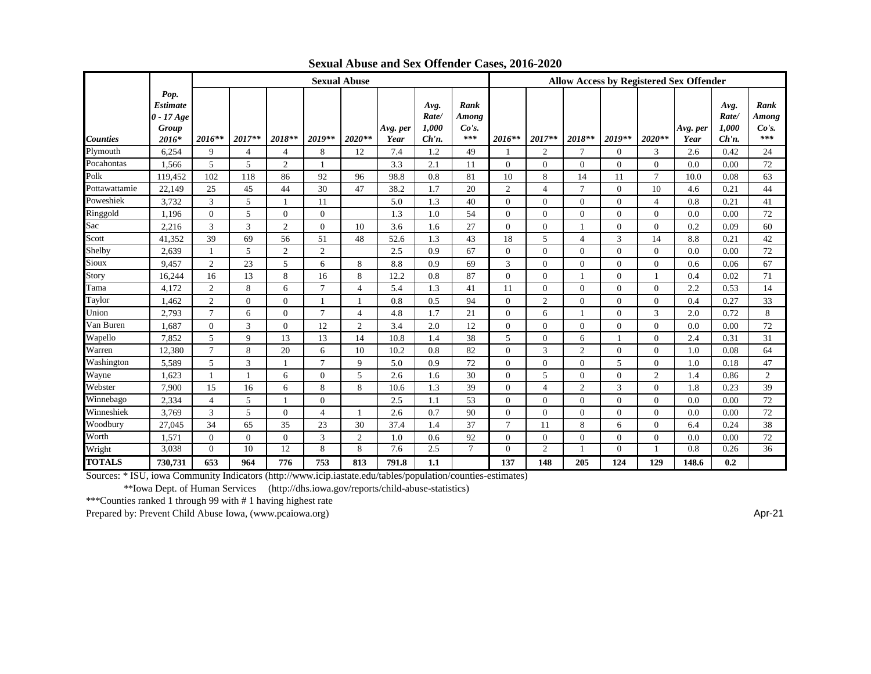|                 |                                                           | <b>Sexual Abuse</b> |                |                |                |                |                  |                                    |                               | <b>Allow Access by Registered Sex Offender</b> |                |                |          |                |                  |                                    |                               |
|-----------------|-----------------------------------------------------------|---------------------|----------------|----------------|----------------|----------------|------------------|------------------------------------|-------------------------------|------------------------------------------------|----------------|----------------|----------|----------------|------------------|------------------------------------|-------------------------------|
| <b>Counties</b> | Pop.<br><b>Estimate</b><br>$0 - 17 Age$<br>Group<br>2016* | $2016**$            | $2017**$       | 2018**         | $2019**$       | 2020**         | Avg. per<br>Year | Avg.<br>Rate/<br>1,000<br>$Ch'n$ . | Rank<br>Among<br>Co's.<br>*** | $2016**$                                       | 2017**         | 2018**         | $2019**$ | $2020**$       | Avg. per<br>Year | Avg.<br>Rate/<br>1,000<br>$Ch'n$ . | Rank<br>Among<br>Co's.<br>*** |
| Plymouth        | 6,254                                                     | 9                   | $\overline{4}$ | $\overline{4}$ | 8              | 12             | 7.4              | 1.2                                | 49                            |                                                | 2              | $\tau$         | $\Omega$ | 3              | 2.6              | 0.42                               | 24                            |
| Pocahontas      | 1,566                                                     | 5                   | 5              | $\overline{c}$ |                |                | 3.3              | 2.1                                | 11                            | $\Omega$                                       | $\Omega$       | $\Omega$       | $\Omega$ | $\Omega$       | 0.0              | 0.00                               | 72                            |
| Polk            | 119,452                                                   | 102                 | 118            | 86             | 92             | 96             | 98.8             | 0.8                                | 81                            | 10                                             | 8              | 14             | 11       | $\mathcal{I}$  | 10.0             | 0.08                               | 63                            |
| Pottawattamie   | 22.149                                                    | 25                  | 45             | 44             | 30             | 47             | 38.2             | 1.7                                | 20                            | 2                                              | $\overline{4}$ | $\tau$         | $\Omega$ | 10             | 4.6              | 0.21                               | 44                            |
| Poweshiek       | 3,732                                                     | 3                   | 5              |                | 11             |                | 5.0              | 1.3                                | 40                            | $\Omega$                                       | $\Omega$       | $\Omega$       | $\Omega$ | $\overline{4}$ | 0.8              | 0.21                               | 41                            |
| Ringgold        | 1,196                                                     | $\Omega$            | 5              | $\Omega$       | $\Omega$       |                | 1.3              | 1.0                                | 54                            | $\Omega$                                       | $\Omega$       | $\Omega$       | $\Omega$ | $\Omega$       | 0.0              | 0.00                               | 72                            |
| Sac             | 2,216                                                     | 3                   | 3              | $\overline{2}$ | $\Omega$       | 10             | 3.6              | 1.6                                | 27                            | $\overline{0}$                                 | $\overline{0}$ |                | $\Omega$ | $\Omega$       | 0.2              | 0.09                               | 60                            |
| Scott           | 41,352                                                    | 39                  | 69             | 56             | 51             | 48             | 52.6             | 1.3                                | 43                            | 18                                             | 5              | $\overline{4}$ | 3        | 14             | 8.8              | 0.21                               | 42                            |
| Shelby          | 2,639                                                     |                     | 5              | $\overline{c}$ | $\overline{c}$ |                | 2.5              | 0.9                                | 67                            | $\Omega$                                       | $\Omega$       | $\Omega$       | $\Omega$ | $\Omega$       | 0.0              | 0.00                               | 72                            |
| Sioux           | 9.457                                                     | $\overline{2}$      | 23             | 5              | 6              | 8              | 8.8              | 0.9                                | 69                            | 3                                              | $\Omega$       | $\mathbf{0}$   | $\Omega$ | $\Omega$       | 0.6              | 0.06                               | 67                            |
| Story           | 16,244                                                    | 16                  | 13             | 8              | 16             | 8              | 12.2             | 0.8                                | 87                            | $\Omega$                                       | $\Omega$       |                | $\Omega$ |                | 0.4              | 0.02                               | 71                            |
| Tama            | 4.172                                                     | 2                   | 8              | 6              | $\tau$         | $\overline{4}$ | 5.4              | 1.3                                | 41                            | 11                                             | $\Omega$       | $\Omega$       | $\Omega$ | $\Omega$       | 2.2              | 0.53                               | 14                            |
| Taylor          | 1.462                                                     | 2                   | $\Omega$       | $\theta$       |                |                | 0.8              | 0.5                                | 94                            | $\overline{0}$                                 | $\overline{c}$ | $\Omega$       | $\Omega$ | $\Omega$       | 0.4              | 0.27                               | 33                            |
| Union           | 2.793                                                     | $\overline{7}$      | 6              | $\Omega$       | $\tau$         | $\overline{4}$ | 4.8              | 1.7                                | 21                            | $\Omega$                                       | 6              |                | $\Omega$ | 3              | 2.0              | 0.72                               | 8                             |
| Van Buren       | 1,687                                                     | $\Omega$            | 3              | $\Omega$       | 12             | $\overline{2}$ | 3.4              | 2.0                                | 12                            | $\Omega$                                       | $\Omega$       | $\Omega$       | $\Omega$ | $\Omega$       | 0.0              | 0.00                               | 72                            |
| Wapello         | 7,852                                                     | 5                   | $\mathbf{Q}$   | 13             | 13             | 14             | 10.8             | 1.4                                | 38                            | 5                                              | $\overline{0}$ | 6              |          | $\Omega$       | 2.4              | 0.31                               | 31                            |
| Warren          | 12,380                                                    | $\overline{7}$      | 8              | 20             | 6              | 10             | 10.2             | 0.8                                | 82                            | $\Omega$                                       | 3              | $\overline{c}$ | $\Omega$ | $\Omega$       | 1.0              | 0.08                               | 64                            |
| Washington      | 5,589                                                     | 5                   | 3              |                | $\tau$         | 9              | 5.0              | 0.9                                | 72                            | $\Omega$                                       | $\Omega$       | $\Omega$       | 5        | $\Omega$       | 1.0              | 0.18                               | 47                            |
| Wayne           | 1.623                                                     |                     |                | 6              | $\Omega$       | 5              | 2.6              | 1.6                                | 30                            | $\Omega$                                       | 5              | $\Omega$       | $\Omega$ | 2              | 1.4              | 0.86                               | 2                             |
| Webster         | 7,900                                                     | 15                  | 16             | 6              | 8              | 8              | 10.6             | 1.3                                | 39                            | $\overline{0}$                                 | $\overline{4}$ | $\overline{2}$ | 3        | $\Omega$       | 1.8              | 0.23                               | 39                            |
| Winnebago       | 2.334                                                     | $\overline{4}$      | 5              |                | $\Omega$       |                | 2.5              | 1.1                                | 53                            | $\Omega$                                       | $\Omega$       | $\Omega$       | $\Omega$ | $\Omega$       | 0.0              | 0.00                               | 72                            |
| Winneshiek      | 3.769                                                     | 3                   | 5              | $\Omega$       | 4              |                | 2.6              | 0.7                                | 90                            | $\mathbf{0}$                                   | $\Omega$       | $\Omega$       | $\Omega$ | $\Omega$       | 0.0              | 0.00                               | 72                            |
| Woodbury        | 27,045                                                    | 34                  | 65             | 35             | 23             | 30             | 37.4             | 1.4                                | 37                            | $\tau$                                         | 11             | 8              | 6        | $\Omega$       | 6.4              | 0.24                               | 38                            |
| Worth           | 1,571                                                     | $\Omega$            | $\Omega$       | $\Omega$       | 3              | $\overline{2}$ | 1.0              | 0.6                                | 92                            | $\Omega$                                       | $\Omega$       | $\Omega$       | $\Omega$ | $\Omega$       | 0.0              | 0.00                               | 72                            |
| Wright          | 3,038                                                     | $\Omega$            | 10             | 12             | 8              | 8              | 7.6              | 2.5                                | $\overline{7}$                | $\Omega$                                       | $\overline{2}$ |                | $\Omega$ |                | 0.8              | 0.26                               | 36                            |
| <b>TOTALS</b>   | 730,731                                                   | 653                 | 964            | 776            | 753            | 813            | 791.8            | 1.1                                |                               | 137                                            | 148            | 205            | 124      | 129            | 148.6            | 0.2                                |                               |

Sources: \* ISU, iowa Community Indicators (http://www.icip.iastate.edu/tables/population/counties-estimates)

\*\*Iowa Dept. of Human Services (http://dhs.iowa.gov/reports/child-abuse-statistics)

\*\*\*Counties ranked 1 through 99 with # 1 having highest rate

Prepared by: Prevent Child Abuse Iowa, (www.pcaiowa.org) Apr-21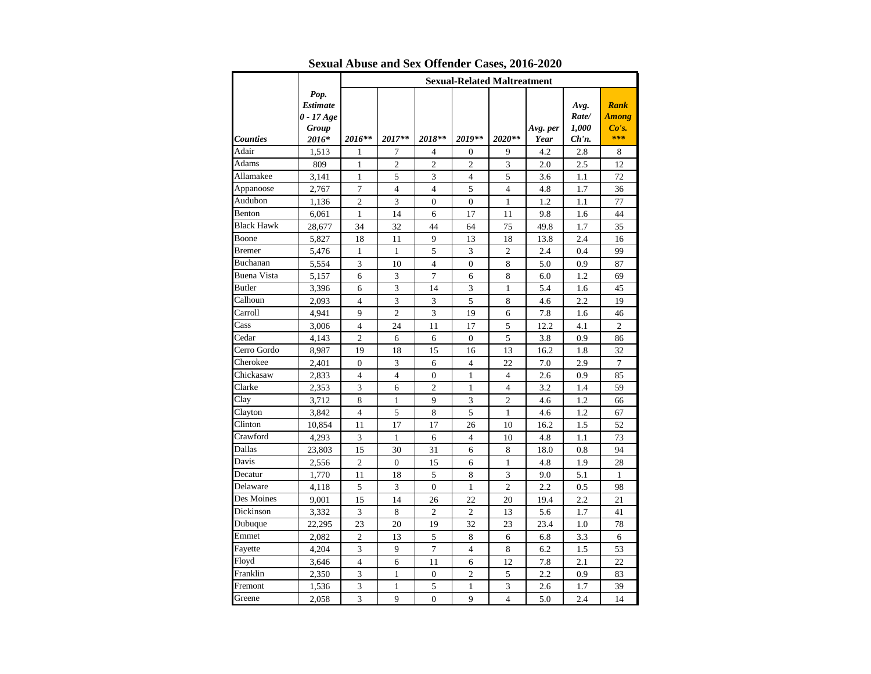|                   |                                                           | <b>Sexual-Related Maltreatment</b> |                |                          |                  |                          |                  |                                    |                                      |  |
|-------------------|-----------------------------------------------------------|------------------------------------|----------------|--------------------------|------------------|--------------------------|------------------|------------------------------------|--------------------------------------|--|
| <b>Counties</b>   | Pop.<br><b>Estimate</b><br>$0 - 17 Age$<br>Group<br>2016* | 2016**                             | 2017**         | 2018**                   | 2019**           | 2020**                   | Avg. per<br>Year | Avg.<br>Rate/<br>1,000<br>$Ch'n$ . | Rank<br><b>Among</b><br>Co's.<br>*** |  |
| Adair             | 1,513                                                     | 1                                  | 7              | 4                        | $\boldsymbol{0}$ | 9                        | 4.2              | 2.8                                | 8                                    |  |
| Adams             | 809                                                       | $\mathbf{1}$                       | $\mathfrak{2}$ | 2                        | $\overline{c}$   | 3                        | 2.0              | 2.5                                | 12                                   |  |
| Allamakee         | 3,141                                                     | $\mathbf{1}$                       | 5              | 3                        | $\overline{4}$   | 5                        | 3.6              | 1.1                                | 72                                   |  |
| Appanoose         | 2,767                                                     | 7                                  | $\overline{4}$ | $\overline{\mathcal{L}}$ | 5                | 4                        | 4.8              | 1.7                                | 36                                   |  |
| Audubon           | 1,136                                                     | $\mathbf{2}$                       | 3              | $\overline{0}$           | $\mathbf{0}$     | 1                        | 1.2              | 1.1                                | 77                                   |  |
| Benton            | 6,061                                                     | $\mathbf{1}$                       | 14             | 6                        | 17               | 11                       | 9.8              | 1.6                                | 44                                   |  |
| <b>Black Hawk</b> | 28,677                                                    | 34                                 | 32             | 44                       | 64               | 75                       | 49.8             | 1.7                                | 35                                   |  |
| Boone             | 5,827                                                     | 18                                 | 11             | 9                        | 13               | 18                       | 13.8             | 2.4                                | 16                                   |  |
| Bremer            | 5,476                                                     | 1                                  | 1              | 5                        | 3                | 2                        | 2.4              | 0.4                                | 99                                   |  |
| Buchanan          | 5,554                                                     | 3                                  | 10             | $\overline{4}$           | $\mathbf{0}$     | 8                        | 5.0              | 0.9                                | 87                                   |  |
| Buena Vista       | 5,157                                                     | 6                                  | 3              | 7                        | 6                | 8                        | 6.0              | 1.2                                | 69                                   |  |
| <b>Butler</b>     | 3,396                                                     | 6                                  | 3              | 14                       | 3                | $\mathbf{1}$             | 5.4              | 1.6                                | 45                                   |  |
| Calhoun           | 2,093                                                     | $\overline{4}$                     | 3              | 3                        | 5                | 8                        | 4.6              | $2.2\,$                            | 19                                   |  |
| Carroll           | 4,941                                                     | 9                                  | $\overline{2}$ | 3                        | 19               | 6                        | 7.8              | 1.6                                | 46                                   |  |
| Cass              | 3,006                                                     | 4                                  | 24             | 11                       | 17               | 5                        | 12.2             | 4.1                                | $\overline{c}$                       |  |
| Cedar             | 4,143                                                     | $\overline{2}$                     | 6              | 6                        | $\mathbf{0}$     | 5                        | 3.8              | 0.9                                | 86                                   |  |
| Cerro Gordo       | 8,987                                                     | 19                                 | 18             | 15                       | 16               | 13                       | 16.2             | 1.8                                | 32                                   |  |
| Cherokee          | 2,401                                                     | $\mathbf{0}$                       | 3              | 6                        | $\overline{4}$   | 22                       | 7.0              | 2.9                                | $\overline{7}$                       |  |
| Chickasaw         | 2,833                                                     | $\overline{4}$                     | $\overline{4}$ | $\overline{0}$           | $\mathbf{1}$     | $\overline{4}$           | 2.6              | 0.9                                | 85                                   |  |
| Clarke            | 2,353                                                     | 3                                  | 6              | $\overline{c}$           | 1                | $\overline{4}$           | 3.2              | 1.4                                | 59                                   |  |
| Clay              | 3,712                                                     | 8                                  | 1              | 9                        | 3                | 2                        | 4.6              | 1.2                                | 66                                   |  |
| Clayton           | 3,842                                                     | $\overline{4}$                     | 5              | 8                        | 5                | 1                        | 4.6              | 1.2                                | 67                                   |  |
| Clinton           | 10,854                                                    | 11                                 | 17             | 17                       | 26               | 10                       | 16.2             | 1.5                                | 52                                   |  |
| Crawford          | 4,293                                                     | 3                                  | 1              | 6                        | $\overline{4}$   | 10                       | 4.8              | 1.1                                | 73                                   |  |
| Dallas            | 23,803                                                    | 15                                 | 30             | 31                       | 6                | 8                        | 18.0             | 0.8                                | 94                                   |  |
| Davis             | 2,556                                                     | $\overline{c}$                     | $\overline{0}$ | 15                       | 6                | 1                        | 4.8              | 1.9                                | 28                                   |  |
| Decatur           | 1,770                                                     | 11                                 | 18             | 5                        | 8                | 3                        | 9.0              | 5.1                                | 1                                    |  |
| Delaware          | 4,118                                                     | 5                                  | 3              | $\overline{0}$           | 1                | $\overline{c}$           | 2.2              | 0.5                                | 98                                   |  |
| Des Moines        | 9,001                                                     | 15                                 | 14             | 26                       | 22               | 20                       | 19.4             | 2.2                                | 21                                   |  |
| Dickinson         | 3,332                                                     | 3                                  | 8              | $\overline{c}$           | $\mathfrak{2}$   | 13                       | 5.6              | 1.7                                | 41                                   |  |
| Dubuque           | 22,295                                                    | 23                                 | 20             | 19                       | 32               | 23                       | 23.4             | 1.0                                | 78                                   |  |
| Emmet             | 2,082                                                     | $\overline{c}$                     | 13             | 5                        | 8                | 6                        | 6.8              | 3.3                                | 6                                    |  |
| Fayette           | 4,204                                                     | 3                                  | 9              | 7                        | $\overline{4}$   | 8                        | 6.2              | 1.5                                | 53                                   |  |
| Floyd             | 3,646                                                     | $\overline{4}$                     | 6              | 11                       | 6                | 12                       | 7.8              | 2.1                                | 22                                   |  |
| Franklin          | 2,350                                                     | 3                                  | 1              | $\overline{0}$           | $\mathbf{2}$     | 5                        | 2.2              | 0.9                                | 83                                   |  |
| Fremont           | 1,536                                                     | 3                                  | 1              | 5                        | 1                | 3                        | 2.6              | 1.7                                | 39                                   |  |
| Greene            | 2,058                                                     | 3                                  | 9              | $\overline{0}$           | 9                | $\overline{\mathcal{L}}$ | 5.0              | 2.4                                | 14                                   |  |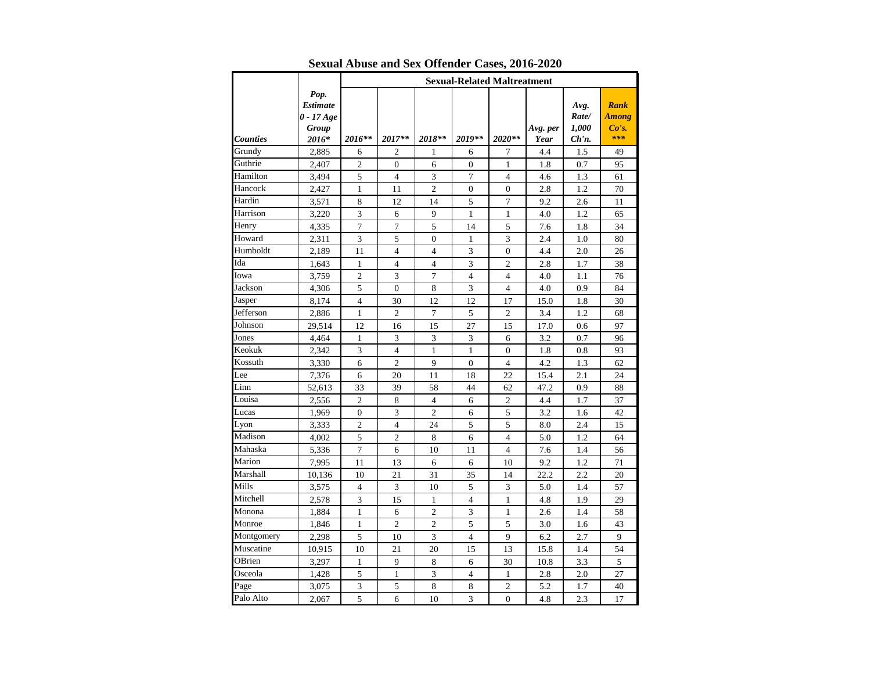|            |                                                           | <b>Sexual-Related Maltreatment</b> |                  |                |                  |                |                  |                                    |                                             |  |
|------------|-----------------------------------------------------------|------------------------------------|------------------|----------------|------------------|----------------|------------------|------------------------------------|---------------------------------------------|--|
| Counties   | Pop.<br><b>Estimate</b><br>$0 - 17 Age$<br>Group<br>2016* | 2016**                             | 2017**           | 2018**         | 2019**           | 2020**         | Avg. per<br>Year | Avg.<br>Rate/<br>1,000<br>$Ch'n$ . | <b>Rank</b><br><b>Among</b><br>Co's.<br>*** |  |
| Grundy     | 2,885                                                     | 6                                  | 2                | 1              | 6                | 7              | 4.4              | 1.5                                | 49                                          |  |
| Guthrie    | 2,407                                                     | $\overline{2}$                     | $\boldsymbol{0}$ | 6              | $\mathbf{0}$     | 1              | 1.8              | 0.7                                | 95                                          |  |
| Hamilton   | 3,494                                                     | 5                                  | $\overline{4}$   | 3              | $\overline{7}$   | $\overline{4}$ | 4.6              | 1.3                                | 61                                          |  |
| Hancock    | 2,427                                                     | $\mathbf{1}$                       | 11               | $\overline{c}$ | $\boldsymbol{0}$ | $\overline{0}$ | 2.8              | 1.2                                | 70                                          |  |
| Hardin     | 3,571                                                     | 8                                  | 12               | 14             | 5                | 7              | 9.2              | 2.6                                | 11                                          |  |
| Harrison   | 3,220                                                     | 3                                  | 6                | 9              | 1                | $\mathbf{1}$   | 4.0              | 1.2                                | 65                                          |  |
| Henry      | 4,335                                                     | 7                                  | 7                | 5              | 14               | 5              | 7.6              | 1.8                                | 34                                          |  |
| Howard     | 2,311                                                     | 3                                  | 5                | $\mathbf{0}$   | $\mathbf{1}$     | 3              | 2.4              | 1.0                                | 80                                          |  |
| Humboldt   | 2,189                                                     | 11                                 | 4                | 4              | 3                | $\overline{0}$ | 4.4              | 2.0                                | 26                                          |  |
| Ida        | 1,643                                                     | 1                                  | $\overline{4}$   | $\overline{4}$ | 3                | $\overline{c}$ | 2.8              | 1.7                                | 38                                          |  |
| Iowa       | 3,759                                                     | $\overline{2}$                     | 3                | $\tau$         | $\overline{4}$   | 4              | 4.0              | 1.1                                | 76                                          |  |
| Jackson    | 4,306                                                     | 5                                  | $\boldsymbol{0}$ | 8              | 3                | 4              | 4.0              | 0.9                                | 84                                          |  |
| Jasper     | 8,174                                                     | $\overline{4}$                     | 30               | 12             | 12               | 17             | 15.0             | 1.8                                | 30                                          |  |
| Jefferson  | 2,886                                                     | 1                                  | $\overline{2}$   | 7              | 5                | $\overline{c}$ | 3.4              | 1.2                                | 68                                          |  |
| Johnson    | 29,514                                                    | 12                                 | 16               | 15             | 27               | 15             | 17.0             | 0.6                                | 97                                          |  |
| Jones      | 4,464                                                     | $\mathbf{1}$                       | 3                | 3              | 3                | 6              | 3.2              | 0.7                                | 96                                          |  |
| Keokuk     | 2,342                                                     | 3                                  | $\overline{4}$   | 1              | 1                | $\mathbf{0}$   | 1.8              | 0.8                                | 93                                          |  |
| Kossuth    | 3,330                                                     | 6                                  | $\overline{2}$   | 9              | $\mathbf{0}$     | 4              | 4.2              | 1.3                                | 62                                          |  |
| Lee        | 7,376                                                     | 6                                  | 20               | 11             | 18               | 22             | 15.4             | 2.1                                | 24                                          |  |
| Linn       | 52,613                                                    | 33                                 | 39               | 58             | 44               | 62             | 47.2             | 0.9                                | 88                                          |  |
| Louisa     | 2,556                                                     | 2                                  | 8                | 4              | 6                | 2              | 4.4              | 1.7                                | 37                                          |  |
| Lucas      | 1,969                                                     | $\mathbf{0}$                       | 3                | $\overline{c}$ | 6                | 5              | 3.2              | 1.6                                | 42                                          |  |
| Lyon       | 3,333                                                     | $\overline{c}$                     | $\overline{4}$   | 24             | 5                | 5              | 8.0              | 2.4                                | 15                                          |  |
| Madison    | 4,002                                                     | 5                                  | $\mathbf{2}$     | 8              | 6                | 4              | 5.0              | 1.2                                | 64                                          |  |
| Mahaska    | 5,336                                                     | 7                                  | 6                | 10             | 11               | 4              | 7.6              | 1.4                                | 56                                          |  |
| Marion     | 7,995                                                     | 11                                 | 13               | 6              | 6                | 10             | 9.2              | 1.2                                | 71                                          |  |
| Marshall   | 10,136                                                    | 10                                 | 21               | 31             | 35               | 14             | 22.2             | 2.2                                | 20                                          |  |
| Mills      | 3,575                                                     | $\overline{4}$                     | 3                | 10             | 5                | 3              | 5.0              | 1.4                                | 57                                          |  |
| Mitchell   | 2,578                                                     | 3                                  | 15               | 1              | $\overline{4}$   | $\mathbf{1}$   | 4.8              | 1.9                                | 29                                          |  |
| Monona     | 1,884                                                     | $\mathbf{1}$                       | 6                | $\overline{c}$ | 3                | $\mathbf{1}$   | 2.6              | 1.4                                | 58                                          |  |
| Monroe     | 1,846                                                     | 1                                  | $\overline{c}$   | $\overline{c}$ | $\mathfrak s$    | 5              | 3.0              | 1.6                                | 43                                          |  |
| Montgomery | 2,298                                                     | 5                                  | 10               | 3              | $\overline{4}$   | 9              | 6.2              | 2.7                                | 9                                           |  |
| Muscatine  | 10,915                                                    | 10                                 | 21               | 20             | 15               | 13             | 15.8             | 1.4                                | 54                                          |  |
| OBrien     | 3,297                                                     | 1                                  | 9                | 8              | 6                | 30             | 10.8             | 3.3                                | 5                                           |  |
| Osceola    | 1,428                                                     | 5                                  | 1                | 3              | $\overline{4}$   | 1              | 2.8              | 2.0                                | 27                                          |  |
| Page       | 3,075                                                     | 3                                  | 5                | 8              | 8                | $\overline{c}$ | 5.2              | 1.7                                | 40                                          |  |
| Palo Alto  | 2,067                                                     | 5                                  | 6                | 10             | 3                | $\overline{0}$ | 4.8              | 2.3                                | 17                                          |  |